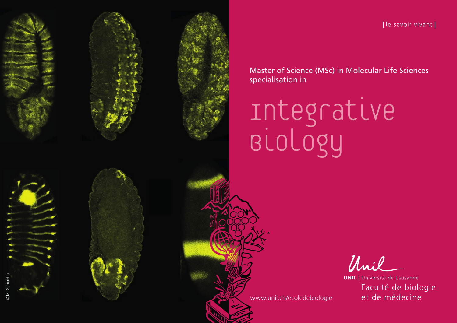[le savoir vivant]

Master of Science (MSc) in Molecular Life Sciences specialisation in

Integrative Biology

[www.unil.ch/ecoledebiologie](http://www.unil.ch/ecoledebiologie)

Unil

**UNIL** | Université de Lausanne Faculté de biologie et de médecine